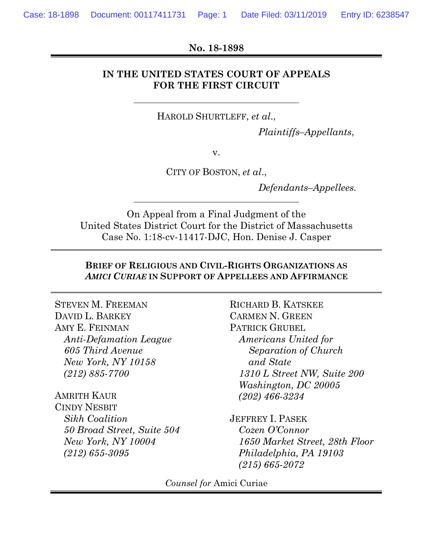#### **No. 18-1898**

## **IN THE UNITED STATES COURT OF APPEALS FOR THE FIRST CIRCUIT**

HAROLD SHURTLEFF, *et al*.,

*Plaintiffs–Appellants*,

v.

CITY OF BOSTON, *et al*.,

*Defendants–Appellees.*

On Appeal from a Final Judgment of the United States District Court for the District of Massachusetts Case No. 1:18-cv-11417-DJC, Hon. Denise J. Casper

## **BRIEF OF RELIGIOUS AND CIVIL-RIGHTS ORGANIZATIONS AS**  *AMICI CURIAE* **IN SUPPORT OF APPELLEES AND AFFIRMANCE**

STEVEN M. FREEMAN DAVID L. BARKEY AMY E. FEINMAN *Anti-Defamation League 605 Third Avenue New York, NY 10158 (212) 885-7700*

## AMRITH KAUR

CINDY NESBIT *Sikh Coalition 50 Broad Street, Suite 504 New York, NY 10004 (212) 655-3095*

RICHARD B. KATSKEE CARMEN N. GREEN PATRICK GRUBEL *Americans United for Separation of Church and State 1310 L Street NW, Suite 200 Washington, DC 20005 (202) 466-3234*

JEFFREY I. PASEK *Cozen O'Connor 1650 Market Street, 28th Floor Philadelphia, PA 19103 (215) 665-2072*

*Counsel for* Amici Curiae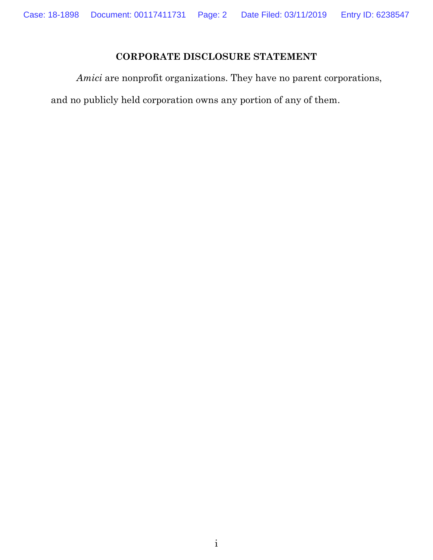# **CORPORATE DISCLOSURE STATEMENT**

<span id="page-1-0"></span>*Amici* are nonprofit organizations. They have no parent corporations,

and no publicly held corporation owns any portion of any of them.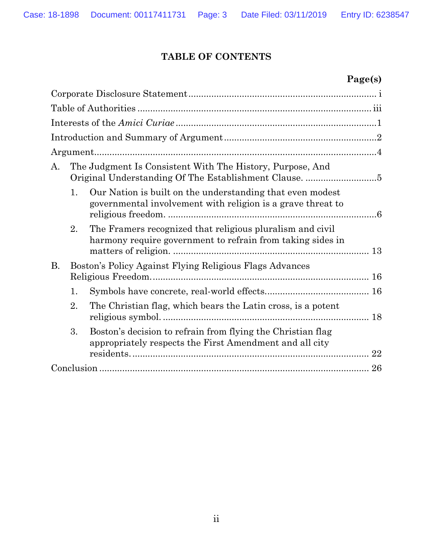# **TABLE OF CONTENTS**

# **Page(s)**

| The Judgment Is Consistent With The History, Purpose, And<br>A.                                                                |    |
|--------------------------------------------------------------------------------------------------------------------------------|----|
| Our Nation is built on the understanding that even modest<br>1.<br>governmental involvement with religion is a grave threat to |    |
| 2.<br>The Framers recognized that religious pluralism and civil<br>harmony require government to refrain from taking sides in  |    |
| <b>B.</b><br>Boston's Policy Against Flying Religious Flags Advances                                                           |    |
| 1.                                                                                                                             |    |
| 2.<br>The Christian flag, which bears the Latin cross, is a potent                                                             |    |
| Boston's decision to refrain from flying the Christian flag<br>3.<br>appropriately respects the First Amendment and all city   | 22 |
|                                                                                                                                | 26 |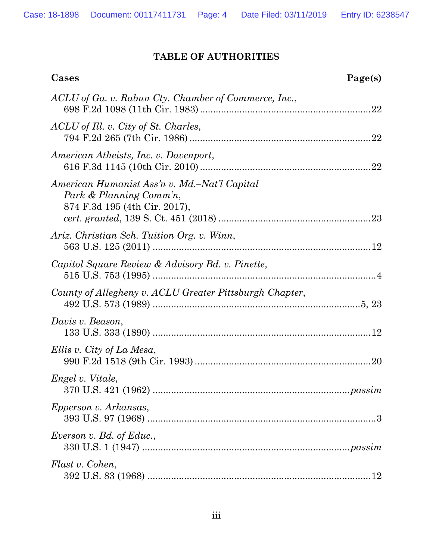# **TABLE OF AUTHORITIES**

<span id="page-3-0"></span>

| Cases                                                                                                    | Page(s) |
|----------------------------------------------------------------------------------------------------------|---------|
| ACLU of Ga. v. Rabun Cty. Chamber of Commerce, Inc.,                                                     |         |
| ACLU of Ill. v. City of St. Charles,                                                                     |         |
| American Atheists, Inc. v. Davenport,                                                                    |         |
| American Humanist Ass'n v. Md.–Nat'l Capital<br>Park & Planning Comm'n,<br>874 F.3d 195 (4th Cir. 2017), |         |
| Ariz. Christian Sch. Tuition Org. v. Winn,                                                               |         |
| Capitol Square Review & Advisory Bd. v. Pinette,                                                         |         |
| County of Allegheny v. ACLU Greater Pittsburgh Chapter,                                                  |         |
| Davis v. Beason,                                                                                         |         |
| Ellis v. City of La Mesa,                                                                                |         |
| Engel v. Vitale,                                                                                         |         |
| Epperson v. Arkansas,                                                                                    |         |
| Everson v. Bd. of Educ.,                                                                                 |         |
| Flast v. Cohen,                                                                                          |         |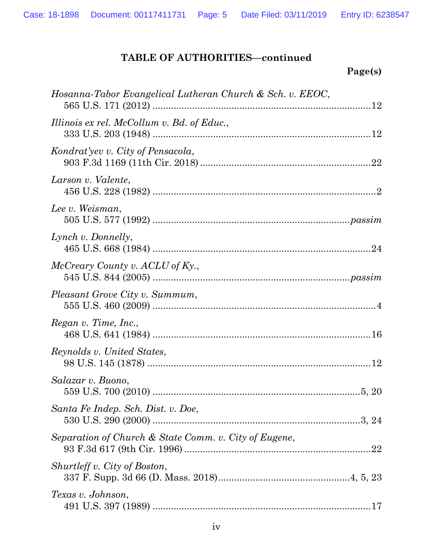# **Page(s)**

| Hosanna-Tabor Evangelical Lutheran Church & Sch. v. EEOC, |     |
|-----------------------------------------------------------|-----|
| Illinois ex rel. McCollum v. Bd. of Educ.,                |     |
| Kondrat'yev v. City of Pensacola,                         |     |
| Larson v. Valente,                                        |     |
| Lee v. Weisman,                                           |     |
| Lynch v. Donnelly,                                        |     |
| McCreary County v. ACLU of Ky.,                           |     |
| Pleasant Grove City v. Summum,                            |     |
| Regan v. Time, Inc.,                                      |     |
| Reynolds v. United States,                                |     |
| Salazar v. Buono,                                         |     |
| Santa Fe Indep. Sch. Dist. v. Doe,                        |     |
| Separation of Church & State Comm. v. City of Eugene,     | .22 |
| Shurtleff v. City of Boston,                              |     |
| Texas v. Johnson,                                         |     |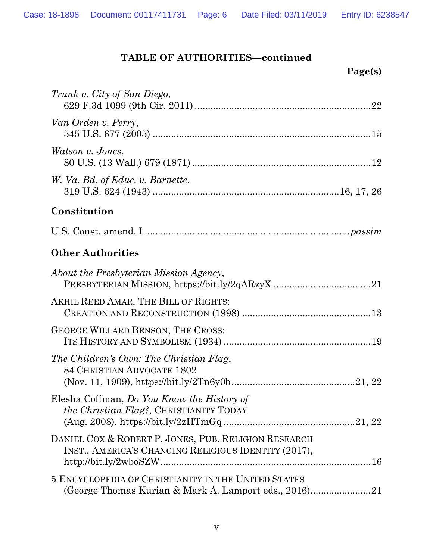| Trunk v. City of San Diego,                                                                                  |
|--------------------------------------------------------------------------------------------------------------|
| Van Orden v. Perry,                                                                                          |
| Watson v. Jones,                                                                                             |
| W. Va. Bd. of Educ. v. Barnette,                                                                             |
| Constitution                                                                                                 |
|                                                                                                              |
| <b>Other Authorities</b>                                                                                     |
| About the Presbyterian Mission Agency,                                                                       |
| AKHIL REED AMAR, THE BILL OF RIGHTS:                                                                         |
| <b>GEORGE WILLARD BENSON, THE CROSS:</b>                                                                     |
| The Children's Own: The Christian Flag,<br>84 CHRISTIAN ADVOCATE 1802                                        |
| Elesha Coffman, Do You Know the History of<br>the Christian Flag?, CHRISTIANITY TODAY                        |
| DANIEL COX & ROBERT P. JONES, PUB. RELIGION RESEARCH<br>INST., AMERICA'S CHANGING RELIGIOUS IDENTITY (2017), |
| 5 ENCYCLOPEDIA OF CHRISTIANITY IN THE UNITED STATES<br>(George Thomas Kurian & Mark A. Lamport eds., 2016)21 |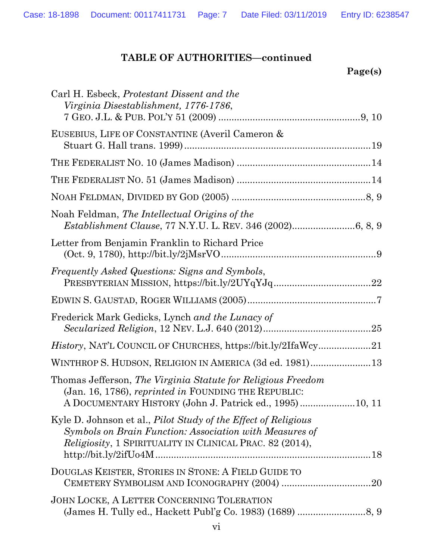| age(s) |
|--------|
|        |

| Carl H. Esbeck, Protestant Dissent and the<br>Virginia Disestablishment, 1776-1786,                                                                                                                                                                                                                                                                                                                                                                                                                                                                                               |
|-----------------------------------------------------------------------------------------------------------------------------------------------------------------------------------------------------------------------------------------------------------------------------------------------------------------------------------------------------------------------------------------------------------------------------------------------------------------------------------------------------------------------------------------------------------------------------------|
| EUSEBIUS, LIFE OF CONSTANTINE (Averil Cameron &                                                                                                                                                                                                                                                                                                                                                                                                                                                                                                                                   |
|                                                                                                                                                                                                                                                                                                                                                                                                                                                                                                                                                                                   |
|                                                                                                                                                                                                                                                                                                                                                                                                                                                                                                                                                                                   |
|                                                                                                                                                                                                                                                                                                                                                                                                                                                                                                                                                                                   |
| Noah Feldman, The Intellectual Origins of the                                                                                                                                                                                                                                                                                                                                                                                                                                                                                                                                     |
| Letter from Benjamin Franklin to Richard Price<br>$(Oct. 9, 1780), http://bit.ly/2jMsrVO9]$                                                                                                                                                                                                                                                                                                                                                                                                                                                                                       |
| <i>Frequently Asked Questions: Signs and Symbols,</i><br>$\label{eq:em} \textsc{Preseyterman} \begin{minipage}{0.9\linewidth} \textsc{Presup} \end{minipage} \begin{minipage}{0.9\linewidth} \textsc{Stab} \end{minipage} \begin{minipage}{0.9\linewidth} \textsc{Stab} \end{minipage} \begin{minipage}{0.9\linewidth} \textsc{Stab} \end{minipage} \begin{minipage}{0.9\linewidth} \textsc{Stab} \end{minipage} \begin{minipage}{0.9\linewidth} \textsc{Stab} \end{minipage} \begin{minipage}{0.9\linewidth} \textsc{Stab} \end{minipage} \begin{minipage}{0.9\linewidth} \text$ |
|                                                                                                                                                                                                                                                                                                                                                                                                                                                                                                                                                                                   |
| Frederick Mark Gedicks, Lynch and the Lunacy of                                                                                                                                                                                                                                                                                                                                                                                                                                                                                                                                   |
| <i>History</i> , NAT'L COUNCIL OF CHURCHES, https://bit.ly/2IfaWcy21                                                                                                                                                                                                                                                                                                                                                                                                                                                                                                              |
| WINTHROP S. HUDSON, RELIGION IN AMERICA (3d ed. 1981) 13                                                                                                                                                                                                                                                                                                                                                                                                                                                                                                                          |
| Thomas Jefferson, The Virginia Statute for Religious Freedom<br>(Jan. 16, 1786), reprinted in FOUNDING THE REPUBLIC:<br>A DOCUMENTARY HISTORY (John J. Patrick ed., 1995) 10, 11                                                                                                                                                                                                                                                                                                                                                                                                  |
| Kyle D. Johnson et al., <i>Pilot Study of the Effect of Religious</i><br>Symbols on Brain Function: Association with Measures of<br>Religiosity, 1 SPIRITUALITY IN CLINICAL PRAC. 82 (2014),                                                                                                                                                                                                                                                                                                                                                                                      |
| DOUGLAS KEISTER, STORIES IN STONE: A FIELD GUIDE TO                                                                                                                                                                                                                                                                                                                                                                                                                                                                                                                               |
| JOHN LOCKE, A LETTER CONCERNING TOLERATION                                                                                                                                                                                                                                                                                                                                                                                                                                                                                                                                        |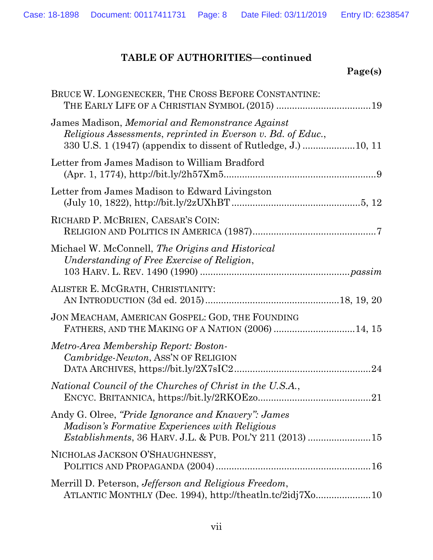| BRUCE W. LONGENECKER, THE CROSS BEFORE CONSTANTINE:<br>THE EARLY LIFE OF A CHRISTIAN SYMBOL (2015) 19                      |
|----------------------------------------------------------------------------------------------------------------------------|
| James Madison, Memorial and Remonstrance Against<br>Religious Assessments, reprinted in Everson v. Bd. of Educ.,           |
| Letter from James Madison to William Bradford                                                                              |
| Letter from James Madison to Edward Livingston                                                                             |
| RICHARD P. MCBRIEN, CAESAR'S COIN:                                                                                         |
| Michael W. McConnell, The Origins and Historical<br>Understanding of Free Exercise of Religion,                            |
| ALISTER E. MCGRATH, CHRISTIANITY:                                                                                          |
| JON MEACHAM, AMERICAN GOSPEL: GOD, THE FOUNDING<br>FATHERS, AND THE MAKING OF A NATION (2006) 14, 15                       |
| Metro-Area Membership Report: Boston-<br>Cambridge-Newton, ASS'N OF RELIGION                                               |
| National Council of the Churches of Christ in the U.S.A.,                                                                  |
| Andy G. Olree, "Pride Ignorance and Knavery": James<br>Madison's Formative Experiences with Religious                      |
| NICHOLAS JACKSON O'SHAUGHNESSY,                                                                                            |
| Merrill D. Peterson, <i>Jefferson and Religious Freedom</i> ,<br>ATLANTIC MONTHLY (Dec. 1994), http://theatln.tc/2idj7Xo10 |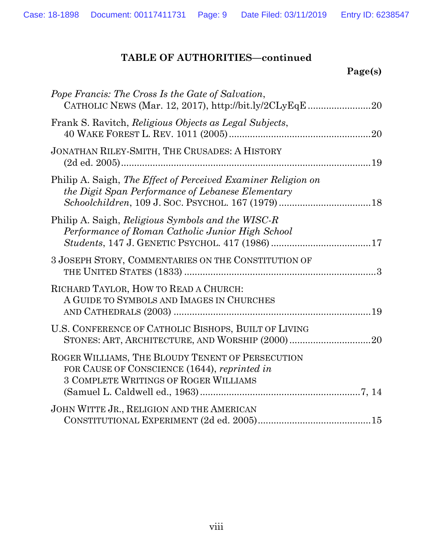| Pope Francis: The Cross Is the Gate of Salvation,<br>CATHOLIC NEWS (Mar. 12, 2017), http://bit.ly/2CLyEqE20                                      |
|--------------------------------------------------------------------------------------------------------------------------------------------------|
| Frank S. Ravitch, <i>Religious Objects as Legal Subjects</i> ,                                                                                   |
| JONATHAN RILEY-SMITH, THE CRUSADES: A HISTORY                                                                                                    |
| Philip A. Saigh, The Effect of Perceived Examiner Religion on<br>the Digit Span Performance of Lebanese Elementary                               |
| Philip A. Saigh, Religious Symbols and the WISC-R<br>Performance of Roman Catholic Junior High School                                            |
| 3 JOSEPH STORY, COMMENTARIES ON THE CONSTITUTION OF                                                                                              |
| RICHARD TAYLOR, HOW TO READ A CHURCH:<br>A GUIDE TO SYMBOLS AND IMAGES IN CHURCHES                                                               |
| U.S. CONFERENCE OF CATHOLIC BISHOPS, BUILT OF LIVING                                                                                             |
| ROGER WILLIAMS, THE BLOUDY TENENT OF PERSECUTION<br>FOR CAUSE OF CONSCIENCE (1644), reprinted in<br><b>3 COMPLETE WRITINGS OF ROGER WILLIAMS</b> |
| JOHN WITTE JR., RELIGION AND THE AMERICAN                                                                                                        |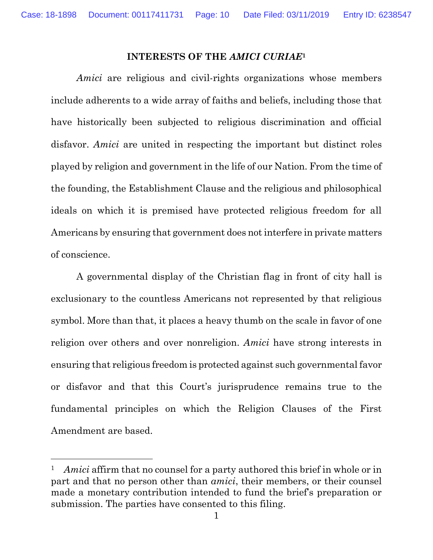#### **INTERESTS OF THE** *AMICI CURIAE***<sup>1</sup>**

<span id="page-9-0"></span>*Amici* are religious and civil-rights organizations whose members include adherents to a wide array of faiths and beliefs, including those that have historically been subjected to religious discrimination and official disfavor. *Amici* are united in respecting the important but distinct roles played by religion and government in the life of our Nation. From the time of the founding, the Establishment Clause and the religious and philosophical ideals on which it is premised have protected religious freedom for all Americans by ensuring that government does not interfere in private matters of conscience.

A governmental display of the Christian flag in front of city hall is exclusionary to the countless Americans not represented by that religious symbol. More than that, it places a heavy thumb on the scale in favor of one religion over others and over nonreligion. *Amici* have strong interests in ensuring that religious freedom is protected against such governmental favor or disfavor and that this Court's jurisprudence remains true to the fundamental principles on which the Religion Clauses of the First Amendment are based.

 $\overline{a}$ 

<sup>1</sup> *Amici* affirm that no counsel for a party authored this brief in whole or in part and that no person other than *amici*, their members, or their counsel made a monetary contribution intended to fund the brief's preparation or submission. The parties have consented to this filing.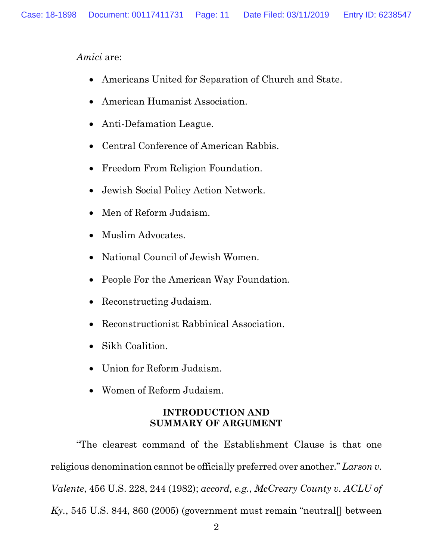*Amici* are:

- Americans United for Separation of Church and State.
- American Humanist Association.
- Anti-Defamation League.
- Central Conference of American Rabbis.
- Freedom From Religion Foundation.
- Jewish Social Policy Action Network.
- Men of Reform Judaism.
- Muslim Advocates.
- National Council of Jewish Women.
- People For the American Way Foundation.
- Reconstructing Judaism.
- Reconstructionist Rabbinical Association.
- Sikh Coalition.
- Union for Reform Judaism.
- Women of Reform Judaism.

## **INTRODUCTION AND SUMMARY OF ARGUMENT**

<span id="page-10-0"></span>"The clearest command of the Establishment Clause is that one religious denomination cannot be officially preferred over another." *Larson v. Valente*, 456 U.S. 228, 244 (1982); *accord, e.g.*, *McCreary County v. ACLU of*   $Ky_{1}, 545$  U.S. 844, 860 (2005) (government must remain "neutral post vectors"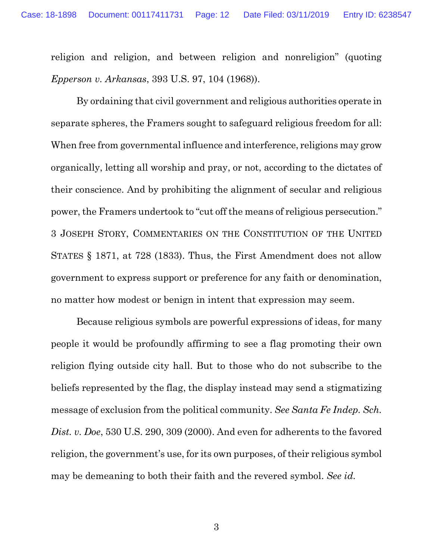religion and religion, and between religion and nonreligion" (quoting *Epperson v. Arkansas*, 393 U.S. 97, 104 (1968)).

By ordaining that civil government and religious authorities operate in separate spheres, the Framers sought to safeguard religious freedom for all: When free from governmental influence and interference, religions may grow organically, letting all worship and pray, or not, according to the dictates of their conscience. And by prohibiting the alignment of secular and religious power, the Framers undertook to "cut off the means of religious persecution." 3 JOSEPH STORY, COMMENTARIES ON THE CONSTITUTION OF THE UNITED STATES § 1871, at 728 (1833). Thus, the First Amendment does not allow government to express support or preference for any faith or denomination, no matter how modest or benign in intent that expression may seem.

Because religious symbols are powerful expressions of ideas, for many people it would be profoundly affirming to see a flag promoting their own religion flying outside city hall. But to those who do not subscribe to the beliefs represented by the flag, the display instead may send a stigmatizing message of exclusion from the political community. *See Santa Fe Indep. Sch. Dist. v. Doe*, 530 U.S. 290, 309 (2000). And even for adherents to the favored religion, the government's use, for its own purposes, of their religious symbol may be demeaning to both their faith and the revered symbol. *See id.*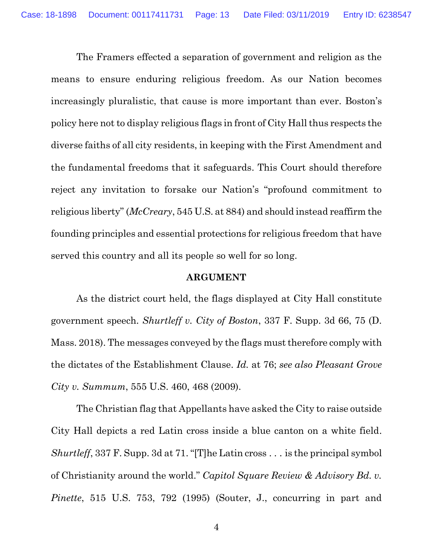The Framers effected a separation of government and religion as the means to ensure enduring religious freedom. As our Nation becomes increasingly pluralistic, that cause is more important than ever. Boston's policy here not to display religious flags in front of City Hall thus respects the diverse faiths of all city residents, in keeping with the First Amendment and the fundamental freedoms that it safeguards. This Court should therefore reject any invitation to forsake our Nation's "profound commitment to religious liberty" (*McCreary*, 545 U.S. at 884) and should instead reaffirm the founding principles and essential protections for religious freedom that have served this country and all its people so well for so long.

#### **ARGUMENT**

<span id="page-12-0"></span>As the district court held, the flags displayed at City Hall constitute government speech. *Shurtleff v. City of Boston*, 337 F. Supp. 3d 66, 75 (D. Mass. 2018). The messages conveyed by the flags must therefore comply with the dictates of the Establishment Clause. *Id.* at 76; *see also Pleasant Grove City v. Summum*, 555 U.S. 460, 468 (2009).

The Christian flag that Appellants have asked the City to raise outside City Hall depicts a red Latin cross inside a blue canton on a white field. *Shurtleff*, 337 F. Supp. 3d at 71. "[T]he Latin cross . . . is the principal symbol of Christianity around the world." *Capitol Square Review & Advisory Bd. v. Pinette*, 515 U.S. 753, 792 (1995) (Souter, J., concurring in part and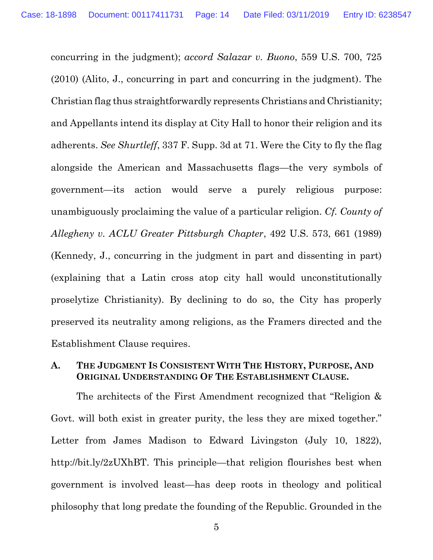concurring in the judgment); *accord Salazar v. Buono*, 559 U.S. 700, 725 (2010) (Alito, J., concurring in part and concurring in the judgment). The Christian flag thus straightforwardly represents Christians and Christianity; and Appellants intend its display at City Hall to honor their religion and its adherents. *See Shurtleff*, 337 F. Supp. 3d at 71. Were the City to fly the flag alongside the American and Massachusetts flags—the very symbols of government—its action would serve a purely religious purpose: unambiguously proclaiming the value of a particular religion. *Cf. County of Allegheny v. ACLU Greater Pittsburgh Chapter*, 492 U.S. 573, 661 (1989) (Kennedy, J., concurring in the judgment in part and dissenting in part) (explaining that a Latin cross atop city hall would unconstitutionally proselytize Christianity). By declining to do so, the City has properly preserved its neutrality among religions, as the Framers directed and the Establishment Clause requires.

## <span id="page-13-0"></span>**A. THE JUDGMENT IS CONSISTENT WITH THE HISTORY, PURPOSE, AND ORIGINAL UNDERSTANDING OF THE ESTABLISHMENT CLAUSE.**

The architects of the First Amendment recognized that "Religion & Govt. will both exist in greater purity, the less they are mixed together." Letter from James Madison to Edward Livingston (July 10, 1822), http://bit.ly/2zUXhBT. This principle—that religion flourishes best when government is involved least—has deep roots in theology and political philosophy that long predate the founding of the Republic. Grounded in the

5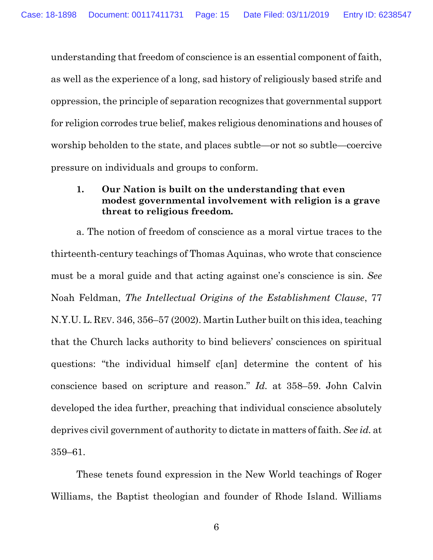understanding that freedom of conscience is an essential component of faith, as well as the experience of a long, sad history of religiously based strife and oppression, the principle of separation recognizes that governmental support for religion corrodes true belief, makes religious denominations and houses of worship beholden to the state, and places subtle—or not so subtle—coercive pressure on individuals and groups to conform.

## <span id="page-14-0"></span>**1. Our Nation is built on the understanding that even modest governmental involvement with religion is a grave threat to religious freedom.**

a. The notion of freedom of conscience as a moral virtue traces to the thirteenth-century teachings of Thomas Aquinas, who wrote that conscience must be a moral guide and that acting against one's conscience is sin. *See* Noah Feldman, *The Intellectual Origins of the Establishment Clause*, 77 N.Y.U. L. REV. 346, 356–57 (2002). Martin Luther built on this idea, teaching that the Church lacks authority to bind believers' consciences on spiritual questions: "the individual himself c[an] determine the content of his conscience based on scripture and reason." *Id.* at 358–59. John Calvin developed the idea further, preaching that individual conscience absolutely deprives civil government of authority to dictate in matters of faith. *See id.* at 359–61.

These tenets found expression in the New World teachings of Roger Williams, the Baptist theologian and founder of Rhode Island. Williams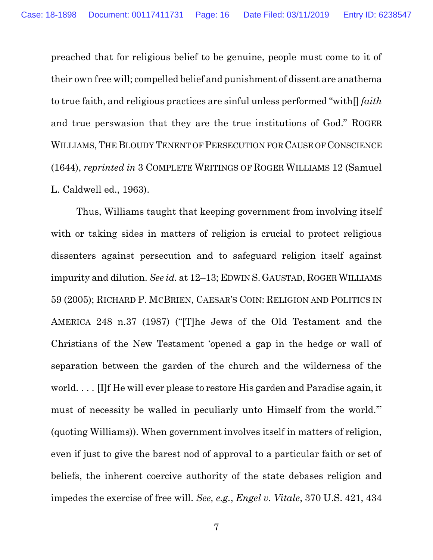preached that for religious belief to be genuine, people must come to it of their own free will; compelled belief and punishment of dissent are anathema to true faith, and religious practices are sinful unless performed "with[] *faith* and true perswasion that they are the true institutions of God." ROGER WILLIAMS, THE BLOUDY TENENT OF PERSECUTION FOR CAUSE OF CONSCIENCE (1644), *reprinted in* 3 COMPLETE WRITINGS OF ROGER WILLIAMS 12 (Samuel L. Caldwell ed., 1963).

Thus, Williams taught that keeping government from involving itself with or taking sides in matters of religion is crucial to protect religious dissenters against persecution and to safeguard religion itself against impurity and dilution. *See id.* at 12–13; EDWIN S. GAUSTAD, ROGER WILLIAMS 59 (2005); RICHARD P. MCBRIEN, CAESAR'S COIN: RELIGION AND POLITICS IN AMERICA 248 n.37 (1987) ("[T]he Jews of the Old Testament and the Christians of the New Testament 'opened a gap in the hedge or wall of separation between the garden of the church and the wilderness of the world. . . . [I]f He will ever please to restore His garden and Paradise again, it must of necessity be walled in peculiarly unto Himself from the world.'" (quoting Williams)). When government involves itself in matters of religion, even if just to give the barest nod of approval to a particular faith or set of beliefs, the inherent coercive authority of the state debases religion and impedes the exercise of free will. *See, e.g.*, *Engel v. Vitale*, 370 U.S. 421, 434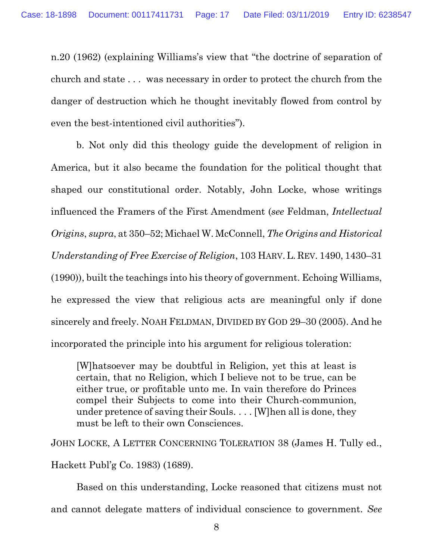n.20 (1962) (explaining Williams's view that "the doctrine of separation of church and state . . . was necessary in order to protect the church from the danger of destruction which he thought inevitably flowed from control by even the best-intentioned civil authorities").

b. Not only did this theology guide the development of religion in America, but it also became the foundation for the political thought that shaped our constitutional order. Notably, John Locke, whose writings influenced the Framers of the First Amendment (*see* Feldman, *Intellectual Origins*, *supra*, at 350–52; Michael W. McConnell, *The Origins and Historical Understanding of Free Exercise of Religion*, 103 HARV.L. REV. 1490, 1430–31 (1990)), built the teachings into his theory of government. Echoing Williams, he expressed the view that religious acts are meaningful only if done sincerely and freely. NOAH FELDMAN, DIVIDED BY GOD 29–30 (2005). And he incorporated the principle into his argument for religious toleration:

[W]hatsoever may be doubtful in Religion, yet this at least is certain, that no Religion, which I believe not to be true, can be either true, or profitable unto me. In vain therefore do Princes compel their Subjects to come into their Church-communion, under pretence of saving their Souls. . . . [W]hen all is done, they must be left to their own Consciences.

JOHN LOCKE, A LETTER CONCERNING TOLERATION 38 (James H. Tully ed., Hackett Publ'g Co. 1983) (1689).

Based on this understanding, Locke reasoned that citizens must not and cannot delegate matters of individual conscience to government. *See*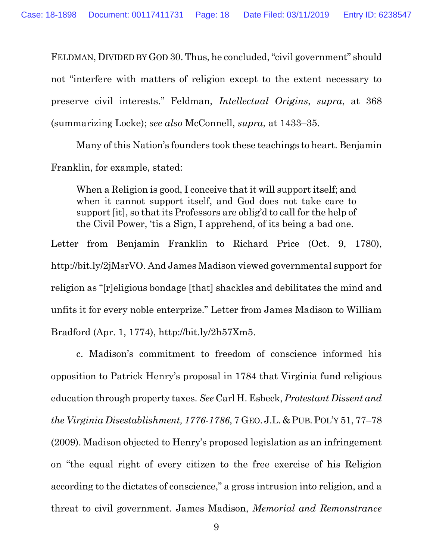FELDMAN, DIVIDED BY GOD 30. Thus, he concluded, "civil government" should not "interfere with matters of religion except to the extent necessary to preserve civil interests." Feldman, *Intellectual Origins*, *supra*, at 368 (summarizing Locke); *see also* McConnell, *supra*, at 1433–35.

Many of this Nation's founders took these teachings to heart. Benjamin Franklin, for example, stated:

When a Religion is good, I conceive that it will support itself; and when it cannot support itself, and God does not take care to support [it], so that its Professors are oblig'd to call for the help of the Civil Power, 'tis a Sign, I apprehend, of its being a bad one.

Letter from Benjamin Franklin to Richard Price (Oct. 9, 1780), http://bit.ly/2jMsrVO. And James Madison viewed governmental support for religion as "[r]eligious bondage [that] shackles and debilitates the mind and unfits it for every noble enterprize." Letter from James Madison to William Bradford (Apr. 1, 1774), http://bit.ly/2h57Xm5.

c. Madison's commitment to freedom of conscience informed his opposition to Patrick Henry's proposal in 1784 that Virginia fund religious education through property taxes. *See* Carl H. Esbeck, *Protestant Dissent and the Virginia Disestablishment, 1776-1786*, 7 GEO. J.L. & PUB.POL'Y 51, 77–78 (2009). Madison objected to Henry's proposed legislation as an infringement on "the equal right of every citizen to the free exercise of his Religion according to the dictates of conscience," a gross intrusion into religion, and a threat to civil government. James Madison, *Memorial and Remonstrance*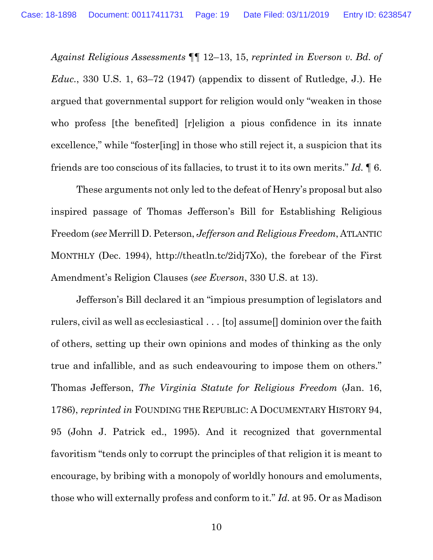*Against Religious Assessments* ¶¶ 12–13, 15, *reprinted in Everson v. Bd. of Educ.*, 330 U.S. 1, 63–72 (1947) (appendix to dissent of Rutledge, J.). He argued that governmental support for religion would only "weaken in those who profess [the benefited] [r]eligion a pious confidence in its innate excellence," while "foster[ing] in those who still reject it, a suspicion that its friends are too conscious of its fallacies, to trust it to its own merits." *Id.* ¶ 6.

These arguments not only led to the defeat of Henry's proposal but also inspired passage of Thomas Jefferson's Bill for Establishing Religious Freedom (*see* Merrill D. Peterson, *Jefferson and Religious Freedom*, ATLANTIC MONTHLY (Dec. 1994), http://theatln.tc/2idj7Xo), the forebear of the First Amendment's Religion Clauses (*see Everson*, 330 U.S. at 13).

Jefferson's Bill declared it an "impious presumption of legislators and rulers, civil as well as ecclesiastical . . . [to] assume[] dominion over the faith of others, setting up their own opinions and modes of thinking as the only true and infallible, and as such endeavouring to impose them on others." Thomas Jefferson, *The Virginia Statute for Religious Freedom* (Jan. 16, 1786), *reprinted in* FOUNDING THE REPUBLIC: A DOCUMENTARY HISTORY 94, 95 (John J. Patrick ed., 1995). And it recognized that governmental favoritism "tends only to corrupt the principles of that religion it is meant to encourage, by bribing with a monopoly of worldly honours and emoluments, those who will externally profess and conform to it." *Id.* at 95. Or as Madison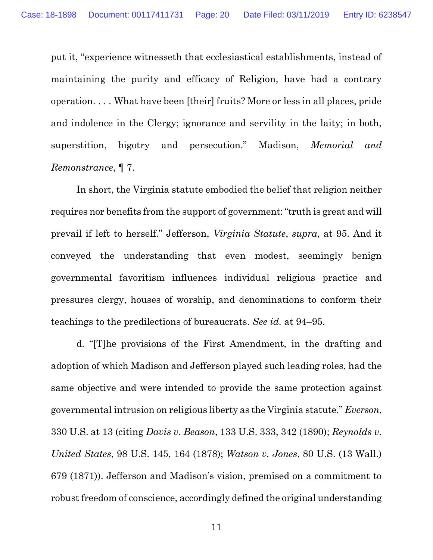put it, "experience witnesseth that ecclesiastical establishments, instead of maintaining the purity and efficacy of Religion, have had a contrary operation. . . . What have been [their] fruits? More or less in all places, pride and indolence in the Clergy; ignorance and servility in the laity; in both, superstition, bigotry and persecution." Madison, *Memorial and Remonstrance*, ¶ 7.

In short, the Virginia statute embodied the belief that religion neither requires nor benefits from the support of government: "truth is great and will prevail if left to herself." Jefferson, *Virginia Statute*, *supra*, at 95. And it conveyed the understanding that even modest, seemingly benign governmental favoritism influences individual religious practice and pressures clergy, houses of worship, and denominations to conform their teachings to the predilections of bureaucrats. *See id.* at 94–95.

d. "[T]he provisions of the First Amendment, in the drafting and adoption of which Madison and Jefferson played such leading roles, had the same objective and were intended to provide the same protection against governmental intrusion on religious liberty as the Virginia statute." *Everson*, 330 U.S. at 13 (citing *Davis v. Beason*, 133 U.S. 333, 342 (1890); *Reynolds v. United States*, 98 U.S. 145, 164 (1878); *Watson v. Jones*, 80 U.S. (13 Wall.) 679 (1871)). Jefferson and Madison's vision, premised on a commitment to robust freedom of conscience, accordingly defined the original understanding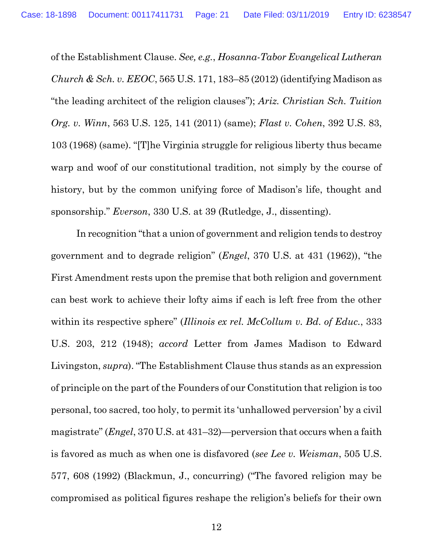of the Establishment Clause. *See, e.g.*, *Hosanna-Tabor Evangelical Lutheran Church & Sch. v. EEOC*, 565 U.S. 171, 183–85 (2012) (identifying Madison as "the leading architect of the religion clauses"); *Ariz. Christian Sch. Tuition Org. v. Winn*, 563 U.S. 125, 141 (2011) (same); *Flast v. Cohen*, 392 U.S. 83, 103 (1968) (same). "[T]he Virginia struggle for religious liberty thus became warp and woof of our constitutional tradition, not simply by the course of history, but by the common unifying force of Madison's life, thought and sponsorship." *Everson*, 330 U.S. at 39 (Rutledge, J., dissenting).

In recognition "that a union of government and religion tends to destroy government and to degrade religion" (*Engel*, 370 U.S. at 431 (1962)), "the First Amendment rests upon the premise that both religion and government can best work to achieve their lofty aims if each is left free from the other within its respective sphere" (*Illinois ex rel. McCollum v. Bd. of Educ.*, 333 U.S. 203, 212 (1948); *accord* Letter from James Madison to Edward Livingston, *supra*). "The Establishment Clause thus stands as an expression of principle on the part of the Founders of our Constitution that religion is too personal, too sacred, too holy, to permit its 'unhallowed perversion' by a civil magistrate" (*Engel*, 370 U.S. at 431–32)—perversion that occurs when a faith is favored as much as when one is disfavored (*see Lee v. Weisman*, 505 U.S. 577, 608 (1992) (Blackmun, J., concurring) ("The favored religion may be compromised as political figures reshape the religion's beliefs for their own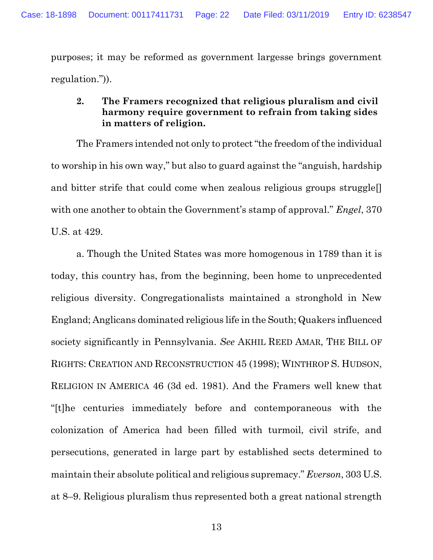purposes; it may be reformed as government largesse brings government regulation.")).

## <span id="page-21-0"></span>**2. The Framers recognized that religious pluralism and civil harmony require government to refrain from taking sides in matters of religion.**

The Framers intended not only to protect "the freedom of the individual to worship in his own way," but also to guard against the "anguish, hardship and bitter strife that could come when zealous religious groups struggle. with one another to obtain the Government's stamp of approval." *Engel*, 370 U.S. at 429.

a. Though the United States was more homogenous in 1789 than it is today, this country has, from the beginning, been home to unprecedented religious diversity. Congregationalists maintained a stronghold in New England; Anglicans dominated religious life in the South; Quakers influenced society significantly in Pennsylvania. *See* AKHIL REED AMAR, THE BILL OF RIGHTS: CREATION AND RECONSTRUCTION 45 (1998); WINTHROP S. HUDSON, RELIGION IN AMERICA 46 (3d ed. 1981). And the Framers well knew that "[t]he centuries immediately before and contemporaneous with the colonization of America had been filled with turmoil, civil strife, and persecutions, generated in large part by established sects determined to maintain their absolute political and religious supremacy." *Everson*, 303 U.S. at 8–9. Religious pluralism thus represented both a great national strength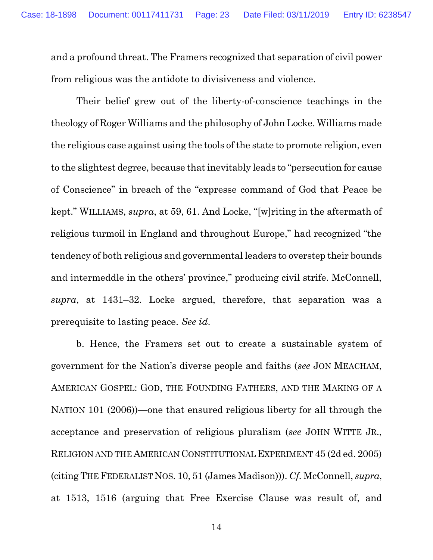and a profound threat. The Framers recognized that separation of civil power from religious was the antidote to divisiveness and violence.

Their belief grew out of the liberty-of-conscience teachings in the theology of Roger Williams and the philosophy of John Locke. Williams made the religious case against using the tools of the state to promote religion, even to the slightest degree, because that inevitably leads to "persecution for cause of Conscience" in breach of the "expresse command of God that Peace be kept." WILLIAMS, *supra*, at 59, 61. And Locke, "[w]riting in the aftermath of religious turmoil in England and throughout Europe," had recognized "the tendency of both religious and governmental leaders to overstep their bounds and intermeddle in the others' province," producing civil strife. McConnell, *supra*, at 1431–32. Locke argued, therefore, that separation was a prerequisite to lasting peace. *See id*.

b. Hence, the Framers set out to create a sustainable system of government for the Nation's diverse people and faiths (*see* JON MEACHAM, AMERICAN GOSPEL: GOD, THE FOUNDING FATHERS, AND THE MAKING OF A NATION 101 (2006))—one that ensured religious liberty for all through the acceptance and preservation of religious pluralism (*see* JOHN WITTE JR., RELIGION AND THE AMERICAN CONSTITUTIONAL EXPERIMENT 45 (2d ed. 2005) (citing THE FEDERALIST NOS. 10, 51 (James Madison))). *Cf.* McConnell, *supra*, at 1513, 1516 (arguing that Free Exercise Clause was result of, and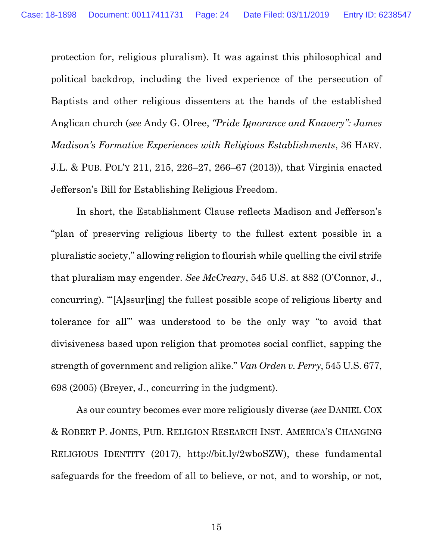protection for, religious pluralism). It was against this philosophical and political backdrop, including the lived experience of the persecution of Baptists and other religious dissenters at the hands of the established Anglican church (*see* Andy G. Olree, *"Pride Ignorance and Knavery": James Madison's Formative Experiences with Religious Establishments*, 36 HARV. J.L. & PUB. POL'Y 211, 215, 226–27, 266–67 (2013)), that Virginia enacted Jefferson's Bill for Establishing Religious Freedom.

In short, the Establishment Clause reflects Madison and Jefferson's "plan of preserving religious liberty to the fullest extent possible in a pluralistic society," allowing religion to flourish while quelling the civil strife that pluralism may engender. *See McCreary*, 545 U.S. at 882 (O'Connor, J., concurring). "'[A]ssur[ing] the fullest possible scope of religious liberty and tolerance for all'" was understood to be the only way "to avoid that divisiveness based upon religion that promotes social conflict, sapping the strength of government and religion alike." *Van Orden v. Perry*, 545 U.S. 677, 698 (2005) (Breyer, J., concurring in the judgment).

As our country becomes ever more religiously diverse (*see* DANIEL COX & ROBERT P. JONES, PUB. RELIGION RESEARCH INST. AMERICA'S CHANGING RELIGIOUS IDENTITY (2017), http://bit.ly/2wboSZW), these fundamental safeguards for the freedom of all to believe, or not, and to worship, or not,

15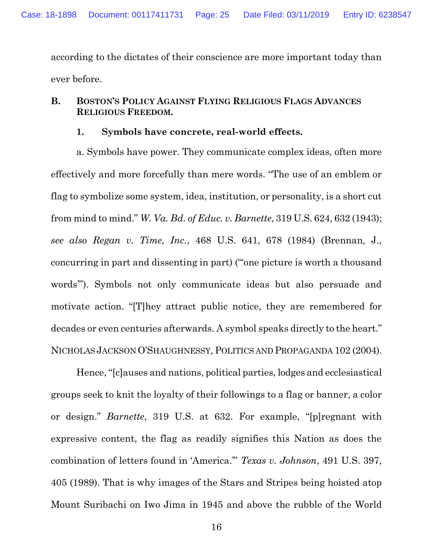according to the dictates of their conscience are more important today than ever before.

## <span id="page-24-0"></span>**B. BOSTON'S POLICY AGAINST FLYING RELIGIOUS FLAGS ADVANCES RELIGIOUS FREEDOM.**

#### **1. Symbols have concrete, real-world effects.**

<span id="page-24-1"></span>a. Symbols have power. They communicate complex ideas, often more effectively and more forcefully than mere words. "The use of an emblem or flag to symbolize some system, idea, institution, or personality, is a short cut from mind to mind." *W. Va. Bd. of Educ. v. Barnette*, 319 U.S. 624, 632 (1943); *see also Regan v. Time, Inc.*, 468 U.S. 641, 678 (1984) (Brennan, J., concurring in part and dissenting in part) ("'one picture is worth a thousand words'"). Symbols not only communicate ideas but also persuade and motivate action. "[T]hey attract public notice, they are remembered for decades or even centuries afterwards. A symbol speaks directly to the heart." NICHOLAS JACKSON O'SHAUGHNESSY, POLITICS AND PROPAGANDA 102 (2004).

Hence, "[c]auses and nations, political parties, lodges and ecclesiastical groups seek to knit the loyalty of their followings to a flag or banner, a color or design." *Barnette*, 319 U.S. at 632. For example, "[p]regnant with expressive content, the flag as readily signifies this Nation as does the combination of letters found in 'America.'" *Texas v. Johnson*, 491 U.S. 397, 405 (1989). That is why images of the Stars and Stripes being hoisted atop Mount Suribachi on Iwo Jima in 1945 and above the rubble of the World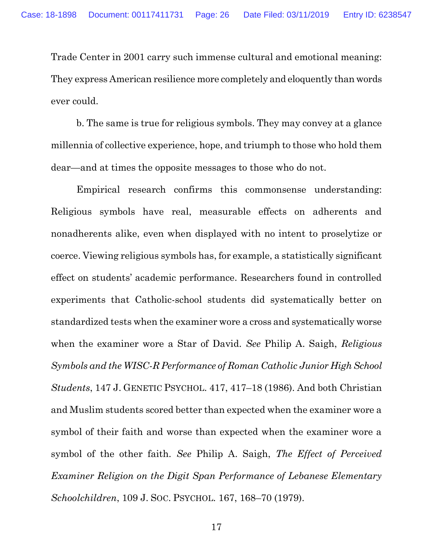Trade Center in 2001 carry such immense cultural and emotional meaning: They express American resilience more completely and eloquently than words ever could.

b. The same is true for religious symbols. They may convey at a glance millennia of collective experience, hope, and triumph to those who hold them dear—and at times the opposite messages to those who do not.

Empirical research confirms this commonsense understanding: Religious symbols have real, measurable effects on adherents and nonadherents alike, even when displayed with no intent to proselytize or coerce. Viewing religious symbols has, for example, a statistically significant effect on students' academic performance. Researchers found in controlled experiments that Catholic-school students did systematically better on standardized tests when the examiner wore a cross and systematically worse when the examiner wore a Star of David. *See* Philip A. Saigh, *Religious Symbols and the WISC-R Performance of Roman Catholic Junior High School Students*, 147 J. GENETIC PSYCHOL. 417, 417–18 (1986). And both Christian and Muslim students scored better than expected when the examiner wore a symbol of their faith and worse than expected when the examiner wore a symbol of the other faith. *See* Philip A. Saigh, *The Effect of Perceived Examiner Religion on the Digit Span Performance of Lebanese Elementary Schoolchildren*, 109 J. SOC. PSYCHOL. 167, 168–70 (1979).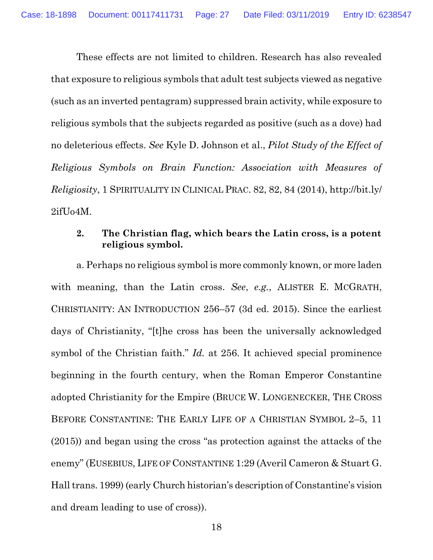These effects are not limited to children. Research has also revealed that exposure to religious symbols that adult test subjects viewed as negative (such as an inverted pentagram) suppressed brain activity, while exposure to religious symbols that the subjects regarded as positive (such as a dove) had no deleterious effects. *See* Kyle D. Johnson et al., *Pilot Study of the Effect of Religious Symbols on Brain Function: Association with Measures of Religiosity*, 1 SPIRITUALITY IN CLINICAL PRAC. 82, 82, 84 (2014), http://bit.ly/ 2ifUo4M.

## <span id="page-26-0"></span>**2. The Christian flag, which bears the Latin cross, is a potent religious symbol.**

a. Perhaps no religious symbol is more commonly known, or more laden with meaning, than the Latin cross. *See*, *e.g.*, ALISTER E. MCGRATH, CHRISTIANITY: AN INTRODUCTION 256–57 (3d ed. 2015). Since the earliest days of Christianity, "[t]he cross has been the universally acknowledged symbol of the Christian faith." *Id.* at 256. It achieved special prominence beginning in the fourth century, when the Roman Emperor Constantine adopted Christianity for the Empire (BRUCE W. LONGENECKER, THE CROSS BEFORE CONSTANTINE: THE EARLY LIFE OF A CHRISTIAN SYMBOL 2–5, 11 (2015)) and began using the cross "as protection against the attacks of the enemy" (EUSEBIUS, LIFE OF CONSTANTINE 1:29 (Averil Cameron & Stuart G. Hall trans. 1999) (early Church historian's description of Constantine's vision and dream leading to use of cross)).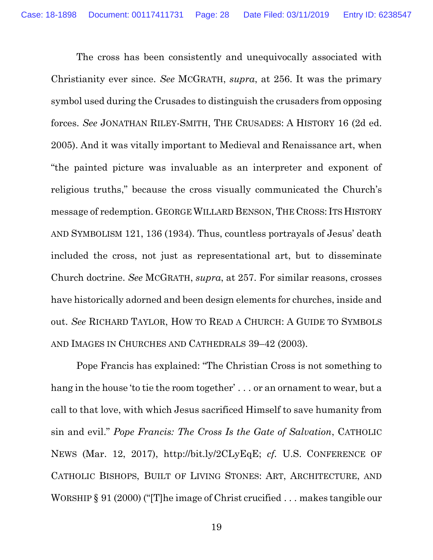The cross has been consistently and unequivocally associated with Christianity ever since. *See* MCGRATH, *supra*, at 256. It was the primary symbol used during the Crusades to distinguish the crusaders from opposing forces. *See* JONATHAN RILEY-SMITH, THE CRUSADES: A HISTORY 16 (2d ed. 2005). And it was vitally important to Medieval and Renaissance art, when "the painted picture was invaluable as an interpreter and exponent of religious truths," because the cross visually communicated the Church's message of redemption. GEORGE WILLARD BENSON, THE CROSS: ITS HISTORY AND SYMBOLISM 121, 136 (1934). Thus, countless portrayals of Jesus' death included the cross, not just as representational art, but to disseminate Church doctrine. *See* MCGRATH, *supra*, at 257. For similar reasons, crosses have historically adorned and been design elements for churches, inside and out. *See* RICHARD TAYLOR, HOW TO READ A CHURCH: A GUIDE TO SYMBOLS AND IMAGES IN CHURCHES AND CATHEDRALS 39–42 (2003).

Pope Francis has explained: "The Christian Cross is not something to hang in the house 'to tie the room together' . . . or an ornament to wear, but a call to that love, with which Jesus sacrificed Himself to save humanity from sin and evil." *Pope Francis: The Cross Is the Gate of Salvation*, CATHOLIC NEWS (Mar. 12, 2017), http://bit.ly/2CLyEqE; *cf.* U.S. CONFERENCE OF CATHOLIC BISHOPS, BUILT OF LIVING STONES: ART, ARCHITECTURE, AND WORSHIP § 91 (2000) ("[T]he image of Christ crucified . . . makes tangible our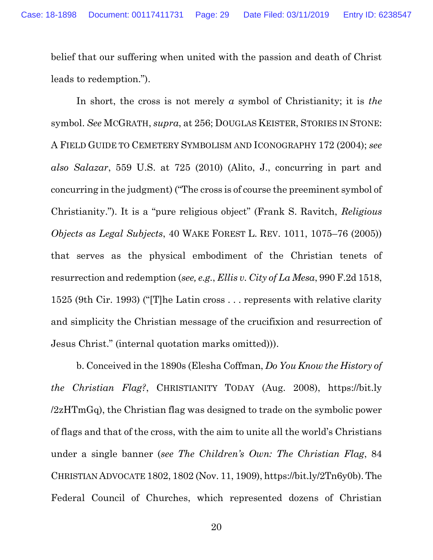belief that our suffering when united with the passion and death of Christ leads to redemption.").

In short, the cross is not merely *a* symbol of Christianity; it is *the* symbol. *See* MCGRATH, *supra*, at 256; DOUGLAS KEISTER, STORIES IN STONE: A FIELD GUIDE TO CEMETERY SYMBOLISM AND ICONOGRAPHY 172 (2004); *see also Salazar*, 559 U.S. at 725 (2010) (Alito, J., concurring in part and concurring in the judgment) ("The cross is of course the preeminent symbol of Christianity."). It is a "pure religious object" (Frank S. Ravitch, *Religious Objects as Legal Subjects*, 40 WAKE FOREST L. REV. 1011, 1075–76 (2005)) that serves as the physical embodiment of the Christian tenets of resurrection and redemption (*see, e.g.*, *Ellis v. City of La Mesa*, 990 F.2d 1518, 1525 (9th Cir. 1993) ("[T]he Latin cross . . . represents with relative clarity and simplicity the Christian message of the crucifixion and resurrection of Jesus Christ." (internal quotation marks omitted))).

b. Conceived in the 1890s (Elesha Coffman, *Do You Know the History of the Christian Flag?*, CHRISTIANITY TODAY (Aug. 2008), https://bit.ly /2zHTmGq), the Christian flag was designed to trade on the symbolic power of flags and that of the cross, with the aim to unite all the world's Christians under a single banner (*see The Children's Own: The Christian Flag*, 84 CHRISTIAN ADVOCATE 1802, 1802 (Nov. 11, 1909), https://bit.ly/2Tn6y0b). The Federal Council of Churches, which represented dozens of Christian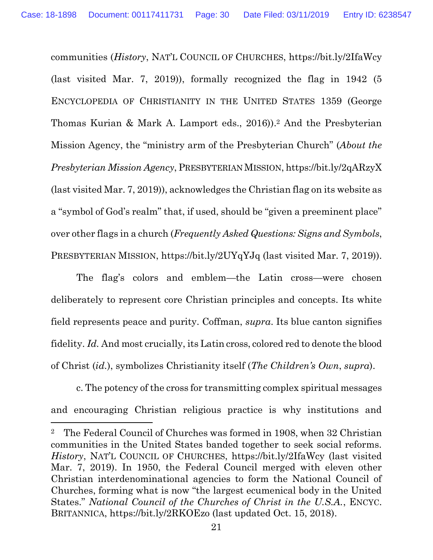communities (*History*, NAT'L COUNCIL OF CHURCHES, https://bit.ly/2IfaWcy (last visited Mar. 7, 2019)), formally recognized the flag in 1942 (5 ENCYCLOPEDIA OF CHRISTIANITY IN THE UNITED STATES 1359 (George Thomas Kurian & Mark A. Lamport eds., 2016)). <sup>2</sup> And the Presbyterian Mission Agency, the "ministry arm of the Presbyterian Church" (*About the Presbyterian Mission Agency*, PRESBYTERIAN MISSION, https://bit.ly/2qARzyX (last visited Mar. 7, 2019)), acknowledges the Christian flag on its website as a "symbol of God's realm" that, if used, should be "given a preeminent place" over other flags in a church (*Frequently Asked Questions: Signs and Symbols*, PRESBYTERIAN MISSION, https://bit.ly/2UYqYJq (last visited Mar. 7, 2019)).

The flag's colors and emblem—the Latin cross—were chosen deliberately to represent core Christian principles and concepts. Its white field represents peace and purity. Coffman, *supra*. Its blue canton signifies fidelity. *Id.* And most crucially, its Latin cross, colored red to denote the blood of Christ (*id.*), symbolizes Christianity itself (*The Children's Own*, *supra*).

c. The potency of the cross for transmitting complex spiritual messages and encouraging Christian religious practice is why institutions and

 $\overline{a}$ 

<sup>2</sup> The Federal Council of Churches was formed in 1908, when 32 Christian communities in the United States banded together to seek social reforms. *History*, NAT'L COUNCIL OF CHURCHES, https://bit.ly/2IfaWcy (last visited Mar. 7, 2019). In 1950, the Federal Council merged with eleven other Christian interdenominational agencies to form the National Council of Churches, forming what is now "the largest ecumenical body in the United States." *National Council of the Churches of Christ in the U.S.A.*, ENCYC. BRITANNICA, https://bit.ly/2RKOEzo (last updated Oct. 15, 2018).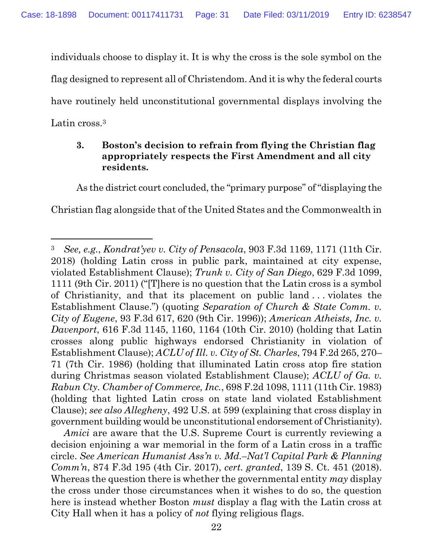individuals choose to display it. It is why the cross is the sole symbol on the flag designed to represent all of Christendom. And it is why the federal courts have routinely held unconstitutional governmental displays involving the Latin cross.<sup>3</sup>

## <span id="page-30-0"></span>**3. Boston's decision to refrain from flying the Christian flag appropriately respects the First Amendment and all city residents.**

As the district court concluded, the "primary purpose" of "displaying the Christian flag alongside that of the United States and the Commonwealth in

 $\overline{a}$ 

*Amici* are aware that the U.S. Supreme Court is currently reviewing a decision enjoining a war memorial in the form of a Latin cross in a traffic circle. *See American Humanist Ass'n v. Md.–Nat'l Capital Park & Planning Comm'n*, 874 F.3d 195 (4th Cir. 2017), *cert. granted*, 139 S. Ct. 451 (2018). Whereas the question there is whether the governmental entity *may* display the cross under those circumstances when it wishes to do so, the question here is instead whether Boston *must* display a flag with the Latin cross at City Hall when it has a policy of *not* flying religious flags.

<sup>3</sup> *See, e.g.*, *Kondrat'yev v. City of Pensacola*, 903 F.3d 1169, 1171 (11th Cir. 2018) (holding Latin cross in public park, maintained at city expense, violated Establishment Clause); *Trunk v. City of San Diego*, 629 F.3d 1099, 1111 (9th Cir. 2011) ("[T]here is no question that the Latin cross is a symbol of Christianity, and that its placement on public land . . . violates the Establishment Clause.") (quoting *Separation of Church & State Comm. v. City of Eugene*, 93 F.3d 617, 620 (9th Cir. 1996)); *American Atheists, Inc. v. Davenport*, 616 F.3d 1145, 1160, 1164 (10th Cir. 2010) (holding that Latin crosses along public highways endorsed Christianity in violation of Establishment Clause); *ACLU of Ill. v. City of St. Charles*, 794 F.2d 265, 270– 71 (7th Cir. 1986) (holding that illuminated Latin cross atop fire station during Christmas season violated Establishment Clause); *ACLU of Ga. v. Rabun Cty. Chamber of Commerce, Inc.*, 698 F.2d 1098, 1111 (11th Cir. 1983) (holding that lighted Latin cross on state land violated Establishment Clause); *see also Allegheny*, 492 U.S. at 599 (explaining that cross display in government building would be unconstitutional endorsement of Christianity).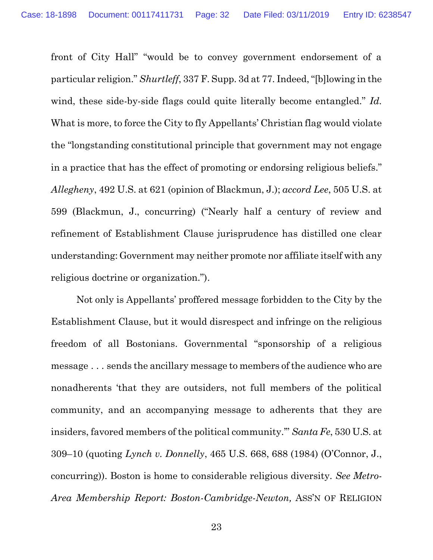front of City Hall" "would be to convey government endorsement of a particular religion." *Shurtleff*, 337 F. Supp. 3d at 77. Indeed, "[b]lowing in the wind, these side-by-side flags could quite literally become entangled." *Id.* What is more, to force the City to fly Appellants' Christian flag would violate the "longstanding constitutional principle that government may not engage in a practice that has the effect of promoting or endorsing religious beliefs." *Allegheny*, 492 U.S. at 621 (opinion of Blackmun, J.); *accord Lee*, 505 U.S. at 599 (Blackmun, J., concurring) ("Nearly half a century of review and refinement of Establishment Clause jurisprudence has distilled one clear understanding: Government may neither promote nor affiliate itself with any religious doctrine or organization.").

Not only is Appellants' proffered message forbidden to the City by the Establishment Clause, but it would disrespect and infringe on the religious freedom of all Bostonians. Governmental "sponsorship of a religious message . . . sends the ancillary message to members of the audience who are nonadherents 'that they are outsiders, not full members of the political community, and an accompanying message to adherents that they are insiders, favored members of the political community.'" *Santa Fe*, 530 U.S. at 309–10 (quoting *Lynch v. Donnelly*, 465 U.S. 668, 688 (1984) (O'Connor, J., concurring)). Boston is home to considerable religious diversity. *See Metro-Area Membership Report: Boston-Cambridge-Newton,* ASS'N OF RELIGION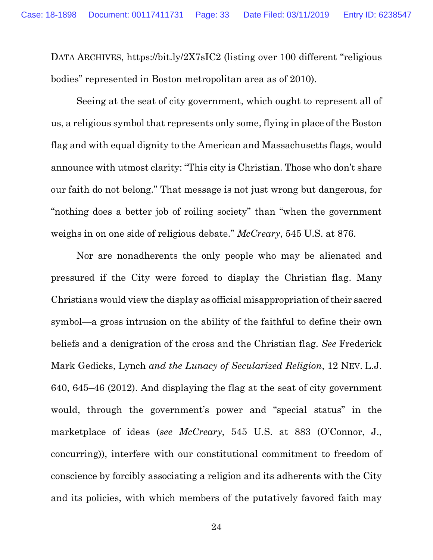DATA ARCHIVES, https://bit.ly/2X7sIC2 (listing over 100 different "religious bodies" represented in Boston metropolitan area as of 2010).

Seeing at the seat of city government, which ought to represent all of us, a religious symbol that represents only some, flying in place of the Boston flag and with equal dignity to the American and Massachusetts flags, would announce with utmost clarity: "This city is Christian. Those who don't share our faith do not belong." That message is not just wrong but dangerous, for "nothing does a better job of roiling society" than "when the government weighs in on one side of religious debate." *McCreary*, 545 U.S. at 876.

Nor are nonadherents the only people who may be alienated and pressured if the City were forced to display the Christian flag. Many Christians would view the display as official misappropriation of their sacred symbol—a gross intrusion on the ability of the faithful to define their own beliefs and a denigration of the cross and the Christian flag. *See* Frederick Mark Gedicks, Lynch *and the Lunacy of Secularized Religion*, 12 NEV. L.J. 640, 645–46 (2012). And displaying the flag at the seat of city government would, through the government's power and "special status" in the marketplace of ideas (*see McCreary*, 545 U.S. at 883 (O'Connor, J., concurring)), interfere with our constitutional commitment to freedom of conscience by forcibly associating a religion and its adherents with the City and its policies, with which members of the putatively favored faith may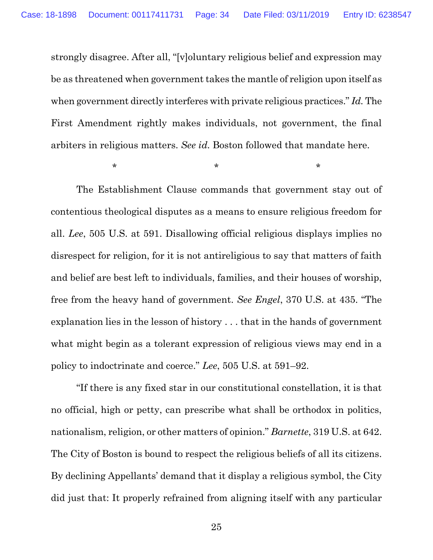strongly disagree. After all, "[v]oluntary religious belief and expression may be as threatened when government takes the mantle of religion upon itself as when government directly interferes with private religious practices." *Id.* The First Amendment rightly makes individuals, not government, the final arbiters in religious matters. *See id.* Boston followed that mandate here.

 $\star$  \* \* \* \* \*

The Establishment Clause commands that government stay out of contentious theological disputes as a means to ensure religious freedom for all. *Lee*, 505 U.S. at 591. Disallowing official religious displays implies no disrespect for religion, for it is not antireligious to say that matters of faith and belief are best left to individuals, families, and their houses of worship, free from the heavy hand of government. *See Engel*, 370 U.S. at 435. "The explanation lies in the lesson of history . . . that in the hands of government what might begin as a tolerant expression of religious views may end in a policy to indoctrinate and coerce." *Lee*, 505 U.S. at 591–92.

"If there is any fixed star in our constitutional constellation, it is that no official, high or petty, can prescribe what shall be orthodox in politics, nationalism, religion, or other matters of opinion." *Barnette*, 319 U.S. at 642. The City of Boston is bound to respect the religious beliefs of all its citizens. By declining Appellants' demand that it display a religious symbol, the City did just that: It properly refrained from aligning itself with any particular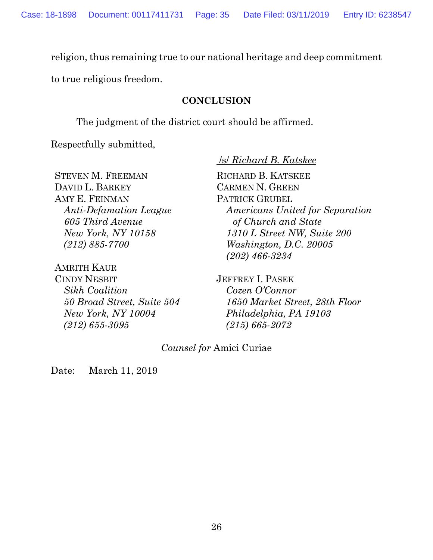religion, thus remaining true to our national heritage and deep commitment

<span id="page-34-0"></span>to true religious freedom.

#### **CONCLUSION**

The judgment of the district court should be affirmed.

Respectfully submitted,

STEVEN M. FREEMAN DAVID L. BARKEY AMY E. FEINMAN *Anti-Defamation League 605 Third Avenue New York, NY 10158 (212) 885-7700*

AMRITH KAUR CINDY NESBIT *Sikh Coalition 50 Broad Street, Suite 504 New York, NY 10004 (212) 655-3095*

/s/ *Richard B. Katskee*

RICHARD B. KATSKEE CARMEN N. GREEN PATRICK GRUBEL *Americans United for Separation of Church and State 1310 L Street NW, Suite 200 Washington, D.C. 20005 (202) 466-3234*

JEFFREY I. PASEK *Cozen O'Connor 1650 Market Street, 28th Floor Philadelphia, PA 19103 (215) 665-2072*

## *Counsel for* Amici Curiae

Date: March 11, 2019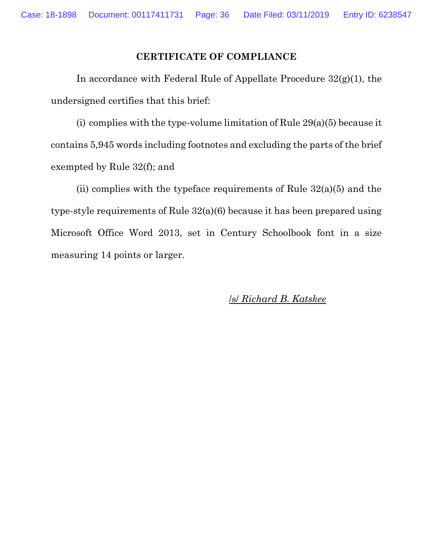## **CERTIFICATE OF COMPLIANCE**

In accordance with Federal Rule of Appellate Procedure  $32(g)(1)$ , the undersigned certifies that this brief:

(i) complies with the type-volume limitation of Rule  $29(a)(5)$  because it contains 5,945 words including footnotes and excluding the parts of the brief exempted by Rule 32(f); and

(ii) complies with the typeface requirements of Rule  $32(a)(5)$  and the type-style requirements of Rule 32(a)(6) because it has been prepared using Microsoft Office Word 2013, set in Century Schoolbook font in a size measuring 14 points or larger.

/s/ *Richard B. Katskee*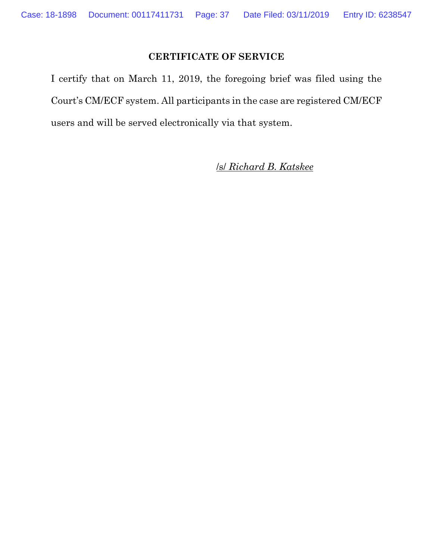## **CERTIFICATE OF SERVICE**

I certify that on March 11, 2019, the foregoing brief was filed using the Court's CM/ECF system. All participants in the case are registered CM/ECF users and will be served electronically via that system.

/s/ *Richard B. Katskee*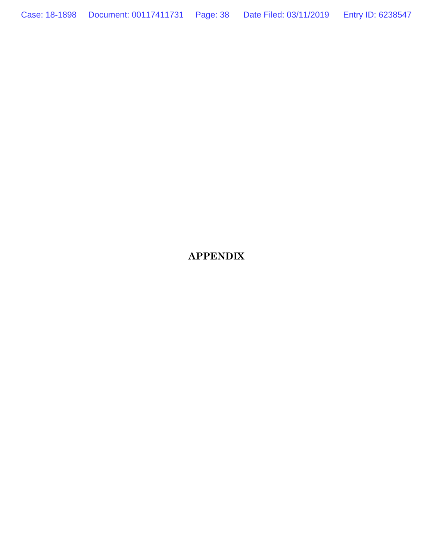Case: 18-1898 Document: 00117411731 Page: 38 Date Filed: 03/11/2019 Entry ID: 6238547

**APPENDIX**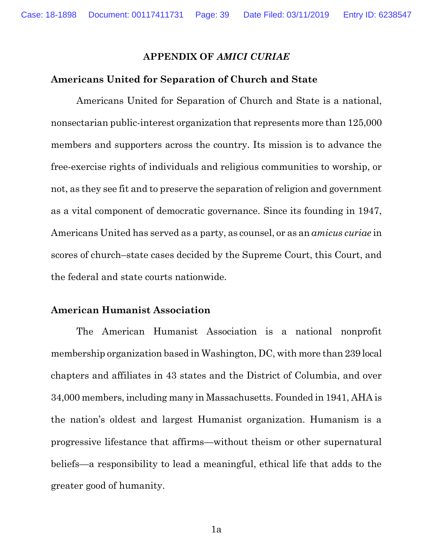#### **APPENDIX OF** *AMICI CURIAE*

#### **Americans United for Separation of Church and State**

Americans United for Separation of Church and State is a national, nonsectarian public-interest organization that represents more than 125,000 members and supporters across the country. Its mission is to advance the free-exercise rights of individuals and religious communities to worship, or not, as they see fit and to preserve the separation of religion and government as a vital component of democratic governance. Since its founding in 1947, Americans United has served as a party, as counsel, or as an *amicus curiae* in scores of church–state cases decided by the Supreme Court, this Court, and the federal and state courts nationwide.

#### **American Humanist Association**

The American Humanist Association is a national nonprofit membership organization based in Washington, DC, with more than 239 local chapters and affiliates in 43 states and the District of Columbia, and over 34,000 members, including many in Massachusetts. Founded in 1941, AHA is the nation's oldest and largest Humanist organization. Humanism is a progressive lifestance that affirms—without theism or other supernatural beliefs—a responsibility to lead a meaningful, ethical life that adds to the greater good of humanity.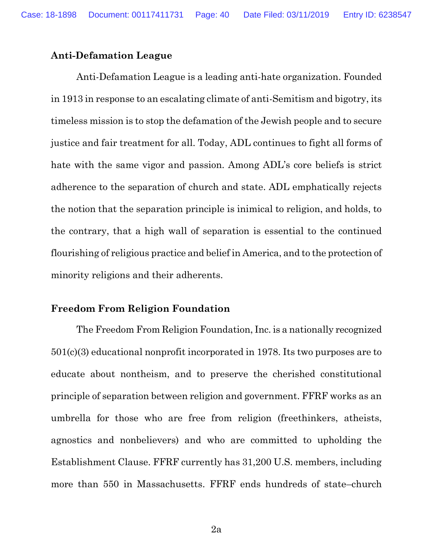#### **Anti-Defamation League**

Anti-Defamation League is a leading anti-hate organization. Founded in 1913 in response to an escalating climate of anti-Semitism and bigotry, its timeless mission is to stop the defamation of the Jewish people and to secure justice and fair treatment for all. Today, ADL continues to fight all forms of hate with the same vigor and passion. Among ADL's core beliefs is strict adherence to the separation of church and state. ADL emphatically rejects the notion that the separation principle is inimical to religion, and holds, to the contrary, that a high wall of separation is essential to the continued flourishing of religious practice and belief in America, and to the protection of minority religions and their adherents.

#### **Freedom From Religion Foundation**

The Freedom From Religion Foundation, Inc. is a nationally recognized 501(c)(3) educational nonprofit incorporated in 1978. Its two purposes are to educate about nontheism, and to preserve the cherished constitutional principle of separation between religion and government. FFRF works as an umbrella for those who are free from religion (freethinkers, atheists, agnostics and nonbelievers) and who are committed to upholding the Establishment Clause. FFRF currently has 31,200 U.S. members, including more than 550 in Massachusetts. FFRF ends hundreds of state–church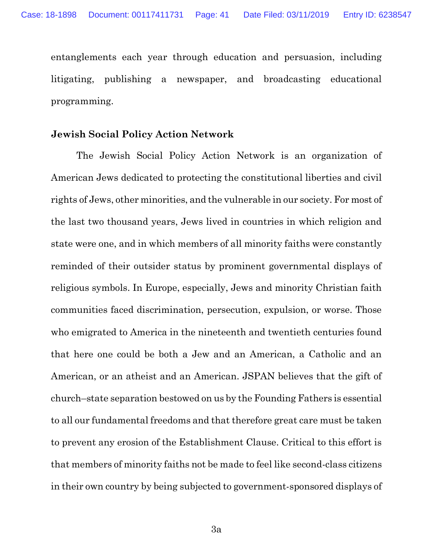entanglements each year through education and persuasion, including litigating, publishing a newspaper, and broadcasting educational programming.

#### **Jewish Social Policy Action Network**

The Jewish Social Policy Action Network is an organization of American Jews dedicated to protecting the constitutional liberties and civil rights of Jews, other minorities, and the vulnerable in our society. For most of the last two thousand years, Jews lived in countries in which religion and state were one, and in which members of all minority faiths were constantly reminded of their outsider status by prominent governmental displays of religious symbols. In Europe, especially, Jews and minority Christian faith communities faced discrimination, persecution, expulsion, or worse. Those who emigrated to America in the nineteenth and twentieth centuries found that here one could be both a Jew and an American, a Catholic and an American, or an atheist and an American. JSPAN believes that the gift of church–state separation bestowed on us by the Founding Fathers is essential to all our fundamental freedoms and that therefore great care must be taken to prevent any erosion of the Establishment Clause. Critical to this effort is that members of minority faiths not be made to feel like second-class citizens in their own country by being subjected to government-sponsored displays of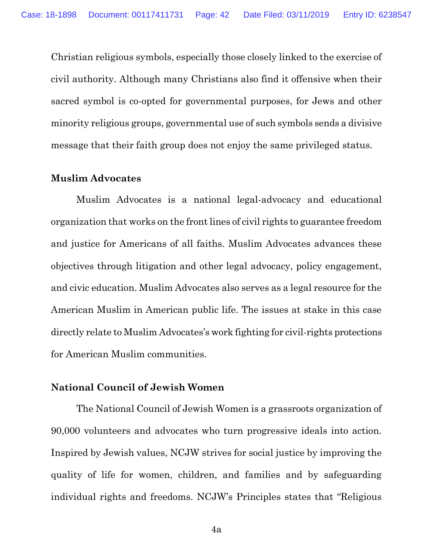Christian religious symbols, especially those closely linked to the exercise of civil authority. Although many Christians also find it offensive when their sacred symbol is co-opted for governmental purposes, for Jews and other minority religious groups, governmental use of such symbols sends a divisive message that their faith group does not enjoy the same privileged status.

#### **Muslim Advocates**

Muslim Advocates is a national legal-advocacy and educational organization that works on the front lines of civil rights to guarantee freedom and justice for Americans of all faiths. Muslim Advocates advances these objectives through litigation and other legal advocacy, policy engagement, and civic education. Muslim Advocates also serves as a legal resource for the American Muslim in American public life. The issues at stake in this case directly relate to Muslim Advocates's work fighting for civil-rights protections for American Muslim communities.

## **National Council of Jewish Women**

The National Council of Jewish Women is a grassroots organization of 90,000 volunteers and advocates who turn progressive ideals into action. Inspired by Jewish values, NCJW strives for social justice by improving the quality of life for women, children, and families and by safeguarding individual rights and freedoms. NCJW's Principles states that "Religious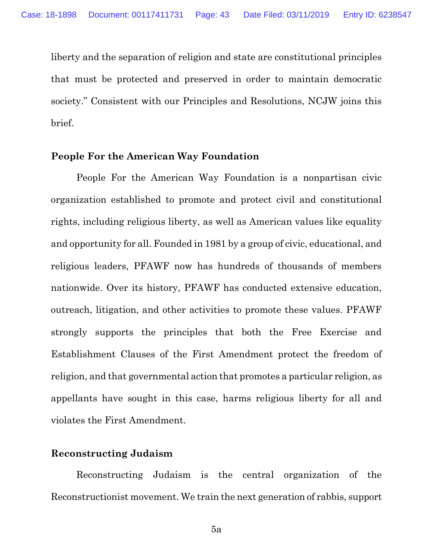liberty and the separation of religion and state are constitutional principles that must be protected and preserved in order to maintain democratic society." Consistent with our Principles and Resolutions, NCJW joins this brief.

## **People For the American Way Foundation**

People For the American Way Foundation is a nonpartisan civic organization established to promote and protect civil and constitutional rights, including religious liberty, as well as American values like equality and opportunity for all. Founded in 1981 by a group of civic, educational, and religious leaders, PFAWF now has hundreds of thousands of members nationwide. Over its history, PFAWF has conducted extensive education, outreach, litigation, and other activities to promote these values. PFAWF strongly supports the principles that both the Free Exercise and Establishment Clauses of the First Amendment protect the freedom of religion, and that governmental action that promotes a particular religion, as appellants have sought in this case, harms religious liberty for all and violates the First Amendment.

## **Reconstructing Judaism**

Reconstructing Judaism is the central organization of the Reconstructionist movement. We train the next generation of rabbis, support

5a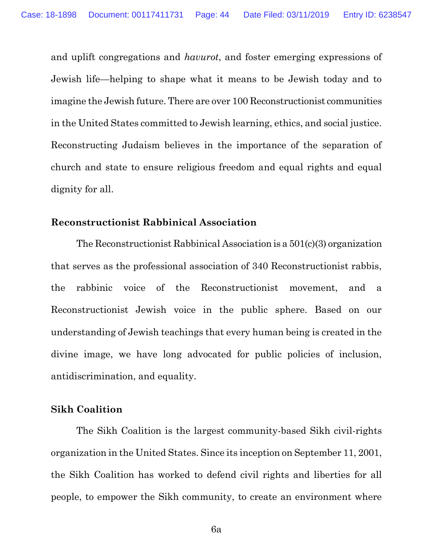and uplift congregations and *havurot*, and foster emerging expressions of Jewish life—helping to shape what it means to be Jewish today and to imagine the Jewish future. There are over 100 Reconstructionist communities in the United States committed to Jewish learning, ethics, and social justice. Reconstructing Judaism believes in the importance of the separation of church and state to ensure religious freedom and equal rights and equal dignity for all.

#### **Reconstructionist Rabbinical Association**

The Reconstructionist Rabbinical Association is a 501(c)(3) organization that serves as the professional association of 340 Reconstructionist rabbis, the rabbinic voice of the Reconstructionist movement, and a Reconstructionist Jewish voice in the public sphere. Based on our understanding of Jewish teachings that every human being is created in the divine image, we have long advocated for public policies of inclusion, antidiscrimination, and equality.

## **Sikh Coalition**

The Sikh Coalition is the largest community-based Sikh civil-rights organization in the United States. Since its inception on September 11, 2001, the Sikh Coalition has worked to defend civil rights and liberties for all people, to empower the Sikh community, to create an environment where

6a